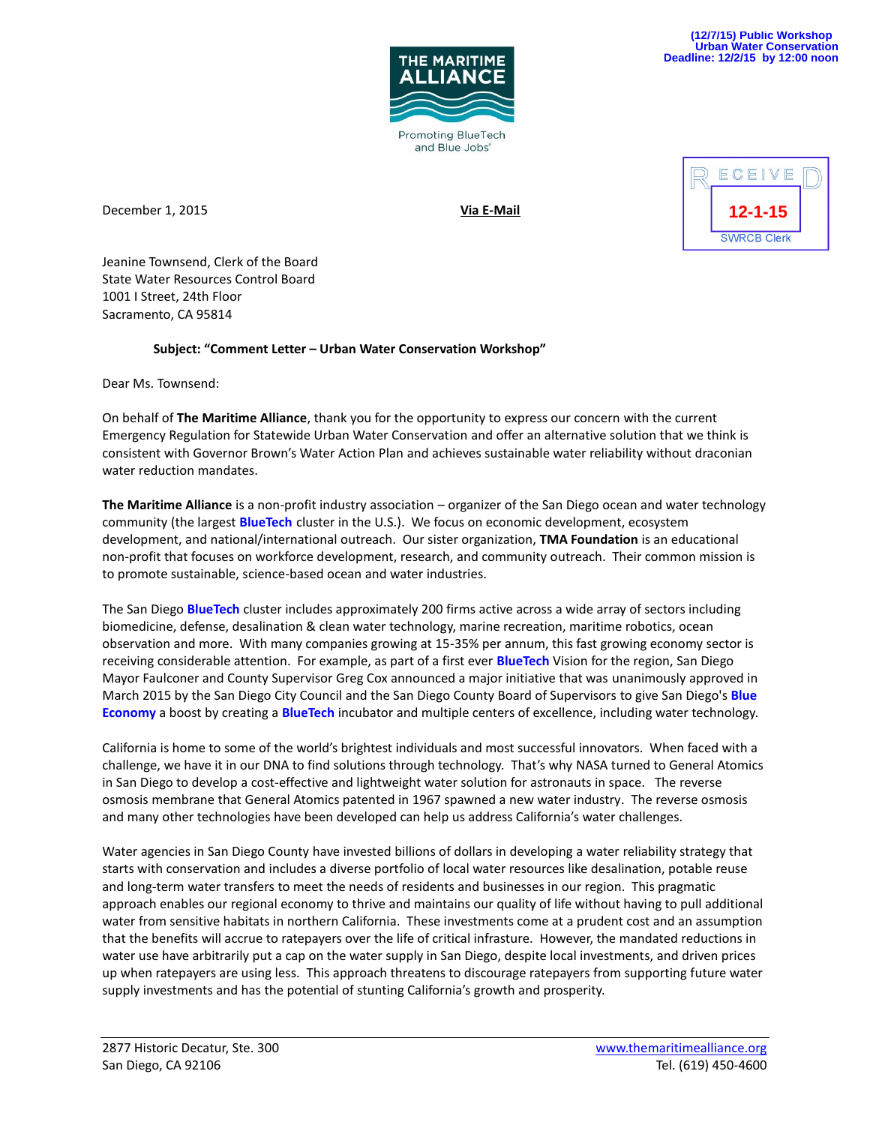

December 1, 2015 **Via E-Mail**



Jeanine Townsend, Clerk of the Board State Water Resources Control Board 1001 I Street, 24th Floor Sacramento, CA 95814

## **Subject: "Comment Letter – Urban Water Conservation Workshop"**

Dear Ms. Townsend:

On behalf of **The Maritime Alliance**, thank you for the opportunity to express our concern with the current Emergency Regulation for Statewide Urban Water Conservation and offer an alternative solution that we think is consistent with Governor Brown's Water Action Plan and achieves sustainable water reliability without draconian water reduction mandates.

**The Maritime Alliance** is a non-profit industry association – organizer of the San Diego ocean and water technology community (the largest **BlueTech** cluster in the U.S.). We focus on economic development, ecosystem development, and national/international outreach. Our sister organization, **TMA Foundation** is an educational non-profit that focuses on workforce development, research, and community outreach. Their common mission is to promote sustainable, science-based ocean and water industries.

The San Diego **BlueTech** cluster includes approximately 200 firms active across a wide array of sectors including biomedicine, defense, desalination & clean water technology, marine recreation, maritime robotics, ocean observation and more. With many companies growing at 15-35% per annum, this fast growing economy sector is receiving considerable attention. For example, as part of a first ever **BlueTech** Vision for the region, San Diego Mayor Faulconer and County Supervisor Greg Cox announced a major initiative that was unanimously approved in March 2015 by the San Diego City Council and the San Diego County Board of Supervisors to give San Diego's **Blue Economy** a boost by creating a **BlueTech** incubator and multiple centers of excellence, including water technology.

California is home to some of the world's brightest individuals and most successful innovators. When faced with a challenge, we have it in our DNA to find solutions through technology. That's why NASA turned to General Atomics in San Diego to develop a cost-effective and lightweight water solution for astronauts in space. The reverse osmosis membrane that General Atomics patented in 1967 spawned a new water industry. The reverse osmosis and many other technologies have been developed can help us address California's water challenges.

Water agencies in San Diego County have invested billions of dollars in developing a water reliability strategy that starts with conservation and includes a diverse portfolio of local water resources like desalination, potable reuse and long-term water transfers to meet the needs of residents and businesses in our region. This pragmatic approach enables our regional economy to thrive and maintains our quality of life without having to pull additional water from sensitive habitats in northern California. These investments come at a prudent cost and an assumption that the benefits will accrue to ratepayers over the life of critical infrasture. However, the mandated reductions in water use have arbitrarily put a cap on the water supply in San Diego, despite local investments, and driven prices up when ratepayers are using less. This approach threatens to discourage ratepayers from supporting future water supply investments and has the potential of stunting California's growth and prosperity.